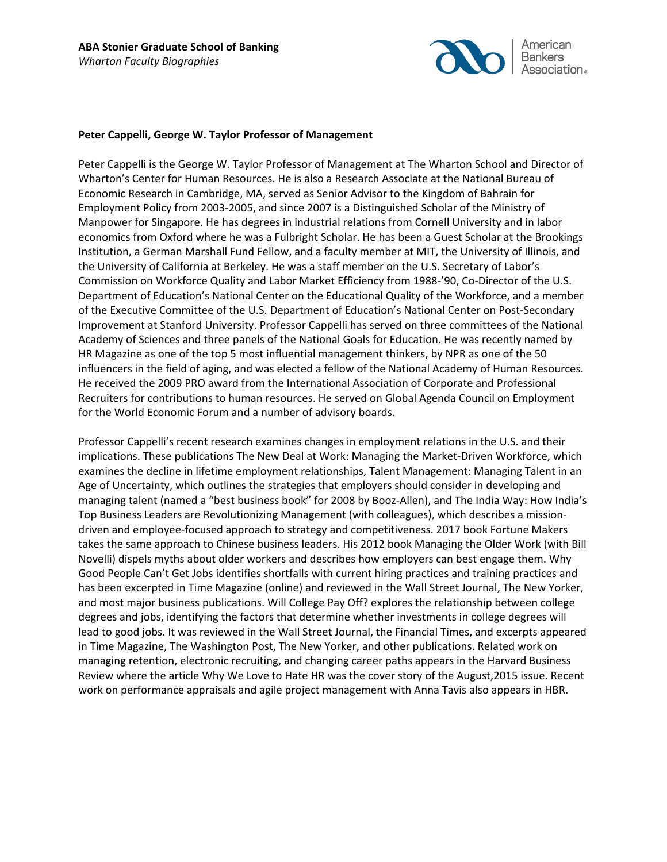

### **Peter Cappelli, George W. Taylor Professor of Management**

Peter Cappelli is the George W. Taylor Professor of Management at The Wharton School and Director of Wharton's Center for Human Resources. He is also a Research Associate at the National Bureau of Economic Research in Cambridge, MA, served as Senior Advisor to the Kingdom of Bahrain for Employment Policy from 2003-2005, and since 2007 is a Distinguished Scholar of the Ministry of Manpower for Singapore. He has degrees in industrial relations from Cornell University and in labor economics from Oxford where he was a Fulbright Scholar. He has been a Guest Scholar at the Brookings Institution, a German Marshall Fund Fellow, and a faculty member at MIT, the University of Illinois, and the University of California at Berkeley. He was a staff member on the U.S. Secretary of Labor's Commission on Workforce Quality and Labor Market Efficiency from 1988-'90, Co-Director of the U.S. Department of Education's National Center on the Educational Quality of the Workforce, and a member of the Executive Committee of the U.S. Department of Education's National Center on Post-Secondary Improvement at Stanford University. Professor Cappelli has served on three committees of the National Academy of Sciences and three panels of the National Goals for Education. He was recently named by HR Magazine as one of the top 5 most influential management thinkers, by NPR as one of the 50 influencers in the field of aging, and was elected a fellow of the National Academy of Human Resources. He received the 2009 PRO award from the International Association of Corporate and Professional Recruiters for contributions to human resources. He served on Global Agenda Council on Employment for the World Economic Forum and a number of advisory boards.

Professor Cappelli's recent research examines changes in employment relations in the U.S. and their implications. These publications The New Deal at Work: Managing the Market-Driven Workforce, which examines the decline in lifetime employment relationships, Talent Management: Managing Talent in an Age of Uncertainty, which outlines the strategies that employers should consider in developing and managing talent (named a "best business book" for 2008 by Booz-Allen), and The India Way: How India's Top Business Leaders are Revolutionizing Management (with colleagues), which describes a missiondriven and employee-focused approach to strategy and competitiveness. 2017 book Fortune Makers takes the same approach to Chinese business leaders. His 2012 book Managing the Older Work (with Bill Novelli) dispels myths about older workers and describes how employers can best engage them. Why Good People Can't Get Jobs identifies shortfalls with current hiring practices and training practices and has been excerpted in Time Magazine (online) and reviewed in the Wall Street Journal, The New Yorker, and most major business publications. Will College Pay Off? explores the relationship between college degrees and jobs, identifying the factors that determine whether investments in college degrees will lead to good jobs. It was reviewed in the Wall Street Journal, the Financial Times, and excerpts appeared in Time Magazine, The Washington Post, The New Yorker, and other publications. Related work on managing retention, electronic recruiting, and changing career paths appears in the Harvard Business Review where the article Why We Love to Hate HR was the cover story of the August,2015 issue. Recent work on performance appraisals and agile project management with Anna Tavis also appears in HBR.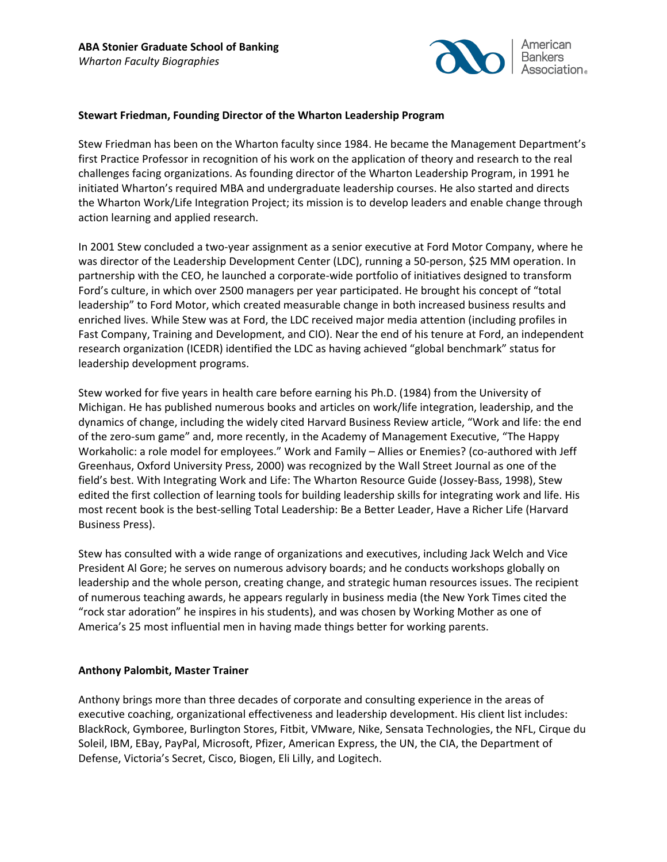

# **Stewart Friedman, Founding Director of the Wharton Leadership Program**

Stew Friedman has been on the Wharton faculty since 1984. He became the Management Department's first Practice Professor in recognition of his work on the application of theory and research to the real challenges facing organizations. As founding director of the Wharton Leadership Program, in 1991 he initiated Wharton's required MBA and undergraduate leadership courses. He also started and directs the Wharton Work/Life Integration Project; its mission is to develop leaders and enable change through action learning and applied research.

In 2001 Stew concluded a two-year assignment as a senior executive at Ford Motor Company, where he was director of the Leadership Development Center (LDC), running a 50-person, \$25 MM operation. In partnership with the CEO, he launched a corporate-wide portfolio of initiatives designed to transform Ford's culture, in which over 2500 managers per year participated. He brought his concept of "total leadership" to Ford Motor, which created measurable change in both increased business results and enriched lives. While Stew was at Ford, the LDC received major media attention (including profiles in Fast Company, Training and Development, and CIO). Near the end of his tenure at Ford, an independent research organization (ICEDR) identified the LDC as having achieved "global benchmark" status for leadership development programs.

Stew worked for five years in health care before earning his Ph.D. (1984) from the University of Michigan. He has published numerous books and articles on work/life integration, leadership, and the dynamics of change, including the widely cited Harvard Business Review article, "Work and life: the end of the zero-sum game" and, more recently, in the Academy of Management Executive, "The Happy Workaholic: a role model for employees." Work and Family – Allies or Enemies? (co-authored with Jeff Greenhaus, Oxford University Press, 2000) was recognized by the Wall Street Journal as one of the field's best. With Integrating Work and Life: The Wharton Resource Guide (Jossey-Bass, 1998), Stew edited the first collection of learning tools for building leadership skills for integrating work and life. His most recent book is the best-selling Total Leadership: Be a Better Leader, Have a Richer Life (Harvard Business Press).

Stew has consulted with a wide range of organizations and executives, including Jack Welch and Vice President Al Gore; he serves on numerous advisory boards; and he conducts workshops globally on leadership and the whole person, creating change, and strategic human resources issues. The recipient of numerous teaching awards, he appears regularly in business media (the New York Times cited the "rock star adoration" he inspires in his students), and was chosen by Working Mother as one of America's 25 most influential men in having made things better for working parents.

# **Anthony Palombit, Master Trainer**

Anthony brings more than three decades of corporate and consulting experience in the areas of executive coaching, organizational effectiveness and leadership development. His client list includes: BlackRock, Gymboree, Burlington Stores, Fitbit, VMware, Nike, Sensata Technologies, the NFL, Cirque du Soleil, IBM, EBay, PayPal, Microsoft, Pfizer, American Express, the UN, the CIA, the Department of Defense, Victoria's Secret, Cisco, Biogen, Eli Lilly, and Logitech.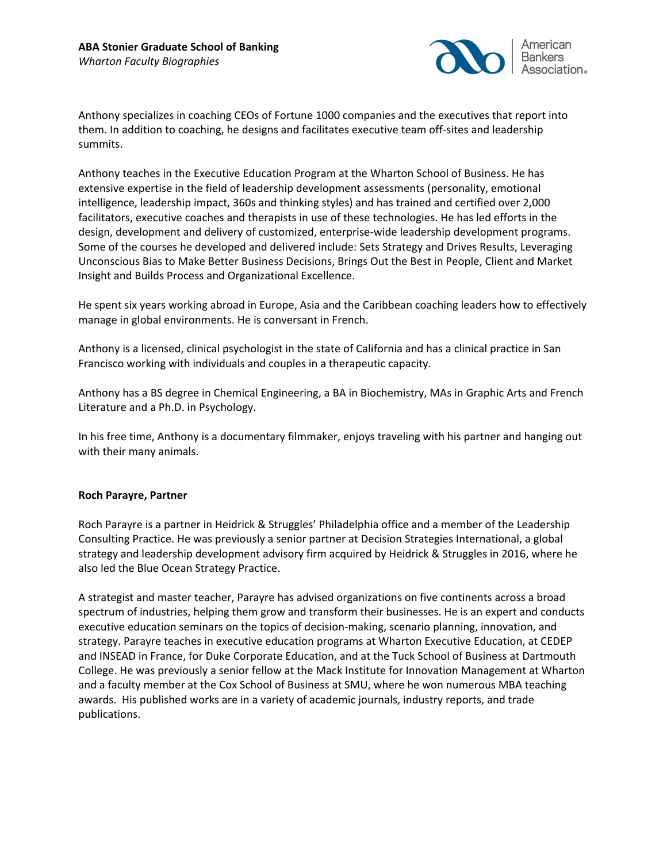

Anthony specializes in coaching CEOs of Fortune 1000 companies and the executives that report into them. In addition to coaching, he designs and facilitates executive team off-sites and leadership summits.

Anthony teaches in the Executive Education Program at the Wharton School of Business. He has extensive expertise in the field of leadership development assessments (personality, emotional intelligence, leadership impact, 360s and thinking styles) and has trained and certified over 2,000 facilitators, executive coaches and therapists in use of these technologies. He has led efforts in the design, development and delivery of customized, enterprise-wide leadership development programs. Some of the courses he developed and delivered include: Sets Strategy and Drives Results, Leveraging Unconscious Bias to Make Better Business Decisions, Brings Out the Best in People, Client and Market Insight and Builds Process and Organizational Excellence.

He spent six years working abroad in Europe, Asia and the Caribbean coaching leaders how to effectively manage in global environments. He is conversant in French.

Anthony is a licensed, clinical psychologist in the state of California and has a clinical practice in San Francisco working with individuals and couples in a therapeutic capacity.

Anthony has a BS degree in Chemical Engineering, a BA in Biochemistry, MAs in Graphic Arts and French Literature and a Ph.D. in Psychology.

In his free time, Anthony is a documentary filmmaker, enjoys traveling with his partner and hanging out with their many animals.

## **Roch Parayre, Partner**

Roch Parayre is a partner in Heidrick & Struggles' Philadelphia office and a member of the Leadership Consulting Practice. He was previously a senior partner at Decision Strategies International, a global strategy and leadership development advisory firm acquired by Heidrick & Struggles in 2016, where he also led the Blue Ocean Strategy Practice.

A strategist and master teacher, Parayre has advised organizations on five continents across a broad spectrum of industries, helping them grow and transform their businesses. He is an expert and conducts executive education seminars on the topics of decision-making, scenario planning, innovation, and strategy. Parayre teaches in executive education programs at Wharton Executive Education, at CEDEP and INSEAD in France, for Duke Corporate Education, and at the Tuck School of Business at Dartmouth College. He was previously a senior fellow at the Mack Institute for Innovation Management at Wharton and a faculty member at the Cox School of Business at SMU, where he won numerous MBA teaching awards. His published works are in a variety of academic journals, industry reports, and trade publications.